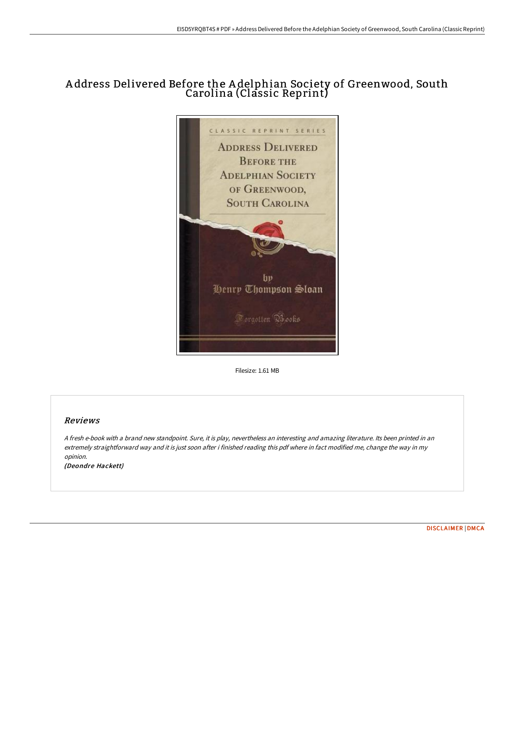# A ddress Delivered Before the A delphian Society of Greenwood, South Carolina (Classic Reprint)



Filesize: 1.61 MB

## Reviews

<sup>A</sup> fresh e-book with <sup>a</sup> brand new standpoint. Sure, it is play, nevertheless an interesting and amazing literature. Its been printed in an extremely straightforward way and it is just soon after i finished reading this pdf where in fact modified me, change the way in my opinion.

(Deondre Hackett)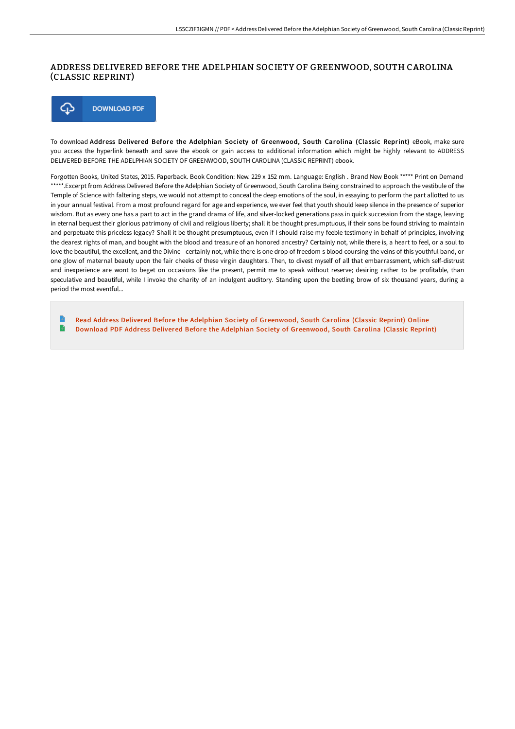# ADDRESS DELIVERED BEFORE THE ADELPHIAN SOCIETY OF GREENWOOD, SOUTH CAROLINA (CLASSIC REPRINT)

⊕ **DOWNLOAD PDF** 

To download Address Delivered Before the Adelphian Society of Greenwood, South Carolina (Classic Reprint) eBook, make sure you access the hyperlink beneath and save the ebook or gain access to additional information which might be highly relevant to ADDRESS DELIVERED BEFORE THE ADELPHIAN SOCIETY OF GREENWOOD, SOUTH CAROLINA (CLASSIC REPRINT) ebook.

Forgotten Books, United States, 2015. Paperback. Book Condition: New. 229 x 152 mm. Language: English . Brand New Book \*\*\*\*\* Print on Demand \*\*\*\*\*.Excerpt from Address Delivered Before the Adelphian Society of Greenwood, South Carolina Being constrained to approach the vestibule of the Temple of Science with faltering steps, we would not attempt to conceal the deep emotions of the soul, in essaying to perform the part allotted to us in your annual festival. From a most profound regard for age and experience, we ever feel that youth should keep silence in the presence of superior wisdom. But as every one has a part to act in the grand drama of life, and silver-locked generations pass in quick succession from the stage, leaving in eternal bequest their glorious patrimony of civil and religious liberty; shall it be thought presumptuous, if their sons be found striving to maintain and perpetuate this priceless legacy? Shall it be thought presumptuous, even if I should raise my feeble testimony in behalf of principles, involving the dearest rights of man, and bought with the blood and treasure of an honored ancestry? Certainly not, while there is, a heart to feel, or a soul to love the beautiful, the excellent, and the Divine - certainly not, while there is one drop of freedom s blood coursing the veins of this youthful band, or one glow of maternal beauty upon the fair cheeks of these virgin daughters. Then, to divest myself of all that embarrassment, which self-distrust and inexperience are wont to beget on occasions like the present, permit me to speak without reserve; desiring rather to be profitable, than speculative and beautiful, while I invoke the charity of an indulgent auditory. Standing upon the beetling brow of six thousand years, during a period the most eventful...

B Read Address Delivered Before the Adelphian Society of [Greenwood,](http://albedo.media/address-delivered-before-the-adelphian-society-o.html) South Carolina (Classic Reprint) Online  $\mathbf{B}$ Download PDF Address Delivered Before the Adelphian Society of [Greenwood,](http://albedo.media/address-delivered-before-the-adelphian-society-o.html) South Carolina (Classic Reprint)